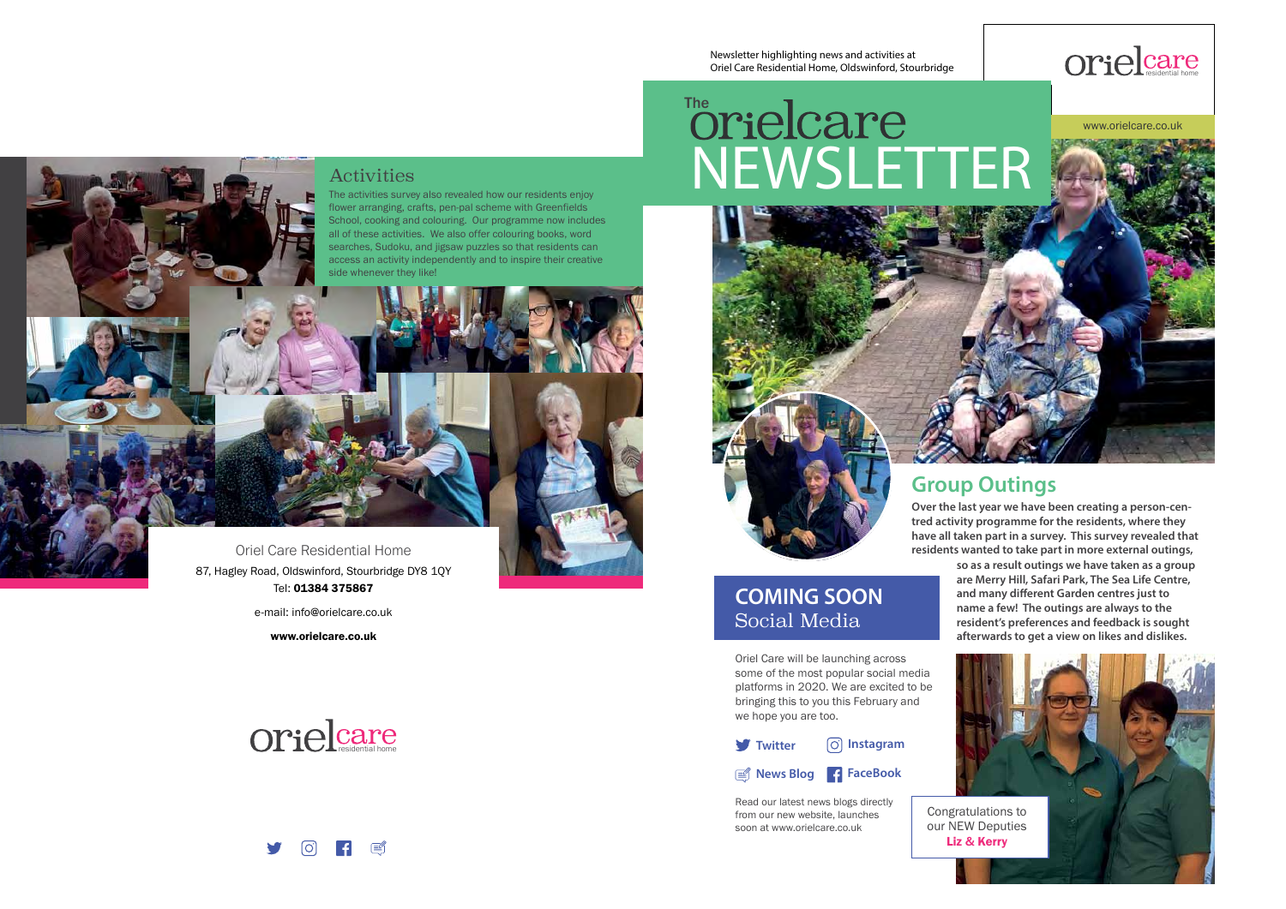**Twitter Instagram**

#### **COMING SOON**  Social Media

Oriel Care will be launching across some of the most popular social media platforms in 2020. We are excited to be bringing this to you this February and we hope you are too.



**tred activity programme for the residents, where they have all taken part in a survey. This survey revealed that residents wanted to take part in more external outings, so as a result outings we have taken as a group are Merry Hill, Safari Park, The Sea Life Centre,**  and many different Garden centres just to **name a few! The outings are always to the resident's preferences and feedback is sought afterwards to get a view on likes and dislikes.**

Read our latest news blogs directly from our new website, launches soon at www.orielcare.co.uk

**FaceBook News Blog**



# The Care

Oriel Care Residential Home 87, Hagley Road, Oldswinford, Stourbridge DY8 1QY Tel: 01384 375867

e-mail: info@orielcare.co.uk

www.orielcare.co.uk

#### Activities

The activities survey also revealed how our residents enjoy flower arranging, crafts, pen-pal scheme with Greenfields School, cooking and colouring. Our programme now includes all of these activities. We also offer colouring books, word searches, Sudoku, and jigsaw puzzles so that residents can access an activity independently and to inspire their creative side whenever they like!